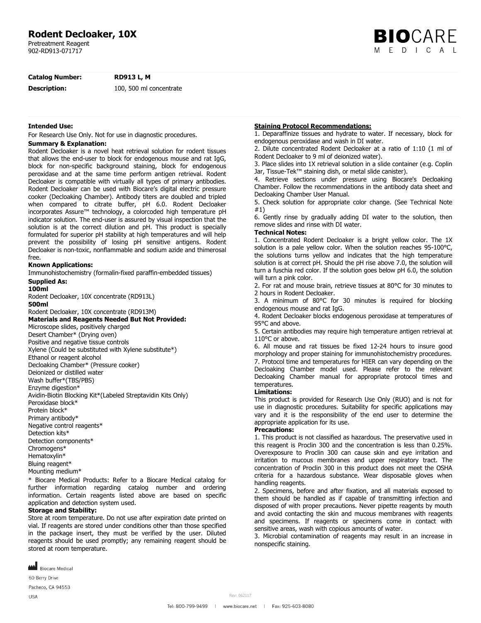# **Rodent Decloaker, 10X**

Pretreatment Reagent 902-RD913-071717

**BIO**CARE M F D I C A I

**Catalog Number: RD913 L, M**

**Description:** 100, 500 ml concentrate

### **Intended Use:**

For Research Use Only. Not for use in diagnostic procedures.

# **Summary & Explanation:**

Rodent Decloaker is a novel heat retrieval solution for rodent tissues that allows the end-user to block for endogenous mouse and rat IgG, block for non-specific background staining, block for endogenous peroxidase and at the same time perform antigen retrieval. Rodent Decloaker is compatible with virtually all types of primary antibodies. Rodent Decloaker can be used with Biocare's digital electric pressure cooker (Decloaking Chamber). Antibody titers are doubled and tripled when compared to citrate buffer, pH 6.0. Rodent Decloaker incorporates Assure™ technology, a colorcoded high temperature pH indicator solution. The end-user is assured by visual inspection that the solution is at the correct dilution and pH. This product is specially formulated for superior pH stability at high temperatures and will help prevent the possibility of losing pH sensitive antigens. Rodent Decloaker is non-toxic, nonflammable and sodium azide and thimerosal free.

## **Known Applications:**

Immunohistochemistry (formalin-fixed paraffin-embedded tissues)

# **Supplied As:**

**100ml**

Rodent Decloaker, 10X concentrate (RD913L) **500ml** Rodent Decloaker, 10X concentrate (RD913M) **Materials and Reagents Needed But Not Provided:** Microscope slides, positively charged Desert Chamber\* (Drying oven) Positive and negative tissue controls Xylene (Could be substituted with Xylene substitute\*) Ethanol or reagent alcohol Decloaking Chamber\* (Pressure cooker) Deionized or distilled water Wash buffer\*(TBS/PBS) Enzyme digestion\* Avidin-Biotin Blocking Kit\*(Labeled Streptavidin Kits Only) Peroxidase block\* Protein block\* Primary antibody\* Negative control reagents\* Detection kits\* Detection components\* Chromogens\* Hematoxylin\* Bluing reagent\* Mounting medium\*

\* Biocare Medical Products: Refer to a Biocare Medical catalog for further information regarding catalog number and ordering information. Certain reagents listed above are based on specific application and detection system used.

#### **Storage and Stability:**

Store at room temperature. Do not use after expiration date printed on vial. If reagents are stored under conditions other than those specified in the package insert, they must be verified by the user. Diluted reagents should be used promptly; any remaining reagent should be stored at room temperature.



60 Berry Drive

Pacheco, CA 94553

**USA** 

#### **Staining Protocol Recommendations:**

1. Deparaffinize tissues and hydrate to water. If necessary, block for endogenous peroxidase and wash in DI water.

2. Dilute concentrated Rodent Decloaker at a ratio of 1:10 (1 ml of Rodent Decloaker to 9 ml of deionized water).

3. Place slides into 1X retrieval solution in a slide container (e.g. Coplin Jar, Tissue-Tek™ staining dish, or metal slide canister).

4. Retrieve sections under pressure using Biocare's Decloaking Chamber. Follow the recommendations in the antibody data sheet and Decloaking Chamber User Manual.

5. Check solution for appropriate color change. (See Technical Note #1)

6. Gently rinse by gradually adding DI water to the solution, then remove slides and rinse with DI water.

#### **Technical Notes:**

1. Concentrated Rodent Decloaker is a bright yellow color. The 1X solution is a pale yellow color. When the solution reaches 95-100°C, the solutions turns yellow and indicates that the high temperature solution is at correct pH. Should the pH rise above 7.0, the solution will turn a fuschia red color. If the solution goes below pH 6.0, the solution will turn a pink color.

2. For rat and mouse brain, retrieve tissues at 80°C for 30 minutes to 2 hours in Rodent Decloaker.

3. A minimum of 80°C for 30 minutes is required for blocking endogenous mouse and rat IgG.

4. Rodent Decloaker blocks endogenous peroxidase at temperatures of 95°C and above.

5. Certain antibodies may require high temperature antigen retrieval at 110°C or above.

6. All mouse and rat tissues be fixed 12-24 hours to insure good morphology and proper staining for immunohistochemistry procedures. 7. Protocol time and temperatures for HIER can vary depending on the Decloaking Chamber model used. Please refer to the relevant Decloaking Chamber manual for appropriate protocol times and temperatures.

## **Limitations:**

This product is provided for Research Use Only (RUO) and is not for use in diagnostic procedures. Suitability for specific applications may vary and it is the responsibility of the end user to determine the appropriate application for its use.

#### **Precautions:**

1. This product is not classified as hazardous. The preservative used in this reagent is Proclin 300 and the concentration is less than 0.25%. Overexposure to Proclin 300 can cause skin and eye irritation and irritation to mucous membranes and upper respiratory tract. The concentration of Proclin 300 in this product does not meet the OSHA criteria for a hazardous substance. Wear disposable gloves when handling reagents.

2. Specimens, before and after fixation, and all materials exposed to them should be handled as if capable of transmitting infection and disposed of with proper precautions. Never pipette reagents by mouth and avoid contacting the skin and mucous membranes with reagents and specimens. If reagents or specimens come in contact with sensitive areas, wash with copious amounts of water.

3. Microbial contamination of reagents may result in an increase in nonspecific staining.